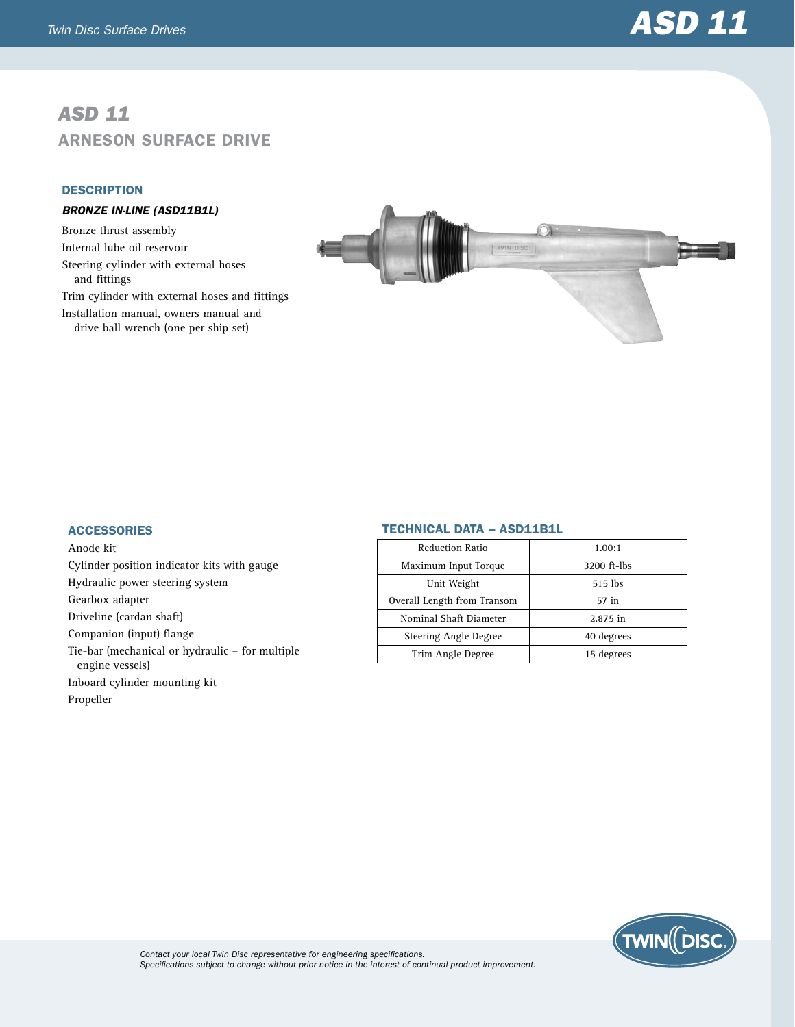# *ASD 11* Arneson Surface Drive

### **DESCRIPTION**

## *BRONZE IN-LINE (ASD11B1L)*

Bronze thrust assembly Internal lube oil reservoir Steering cylinder with external hoses and fittings Trim cylinder with external hoses and fittings Installation manual, owners manual and drive ball wrench (one per ship set)



#### **ACCESSORIES**

Anode kit Cylinder position indicator kits with gauge Hydraulic power steering system Gearbox adapter Driveline (cardan shaft) Companion (input) flange Tie-bar (mechanical or hydraulic – for multiple engine vessels) Inboard cylinder mounting kit Propeller

#### Technical Data – ASD11B1L

| 1.00:1      |
|-------------|
| 3200 ft-lbs |
| 515 lbs     |
| 57 in       |
| 2.875 in    |
| 40 degrees  |
| 15 degrees  |
|             |



*Contact your local Twin Disc representative for engineering specifications. Specifications subject to change without prior notice in the interest of continual product improvement.*